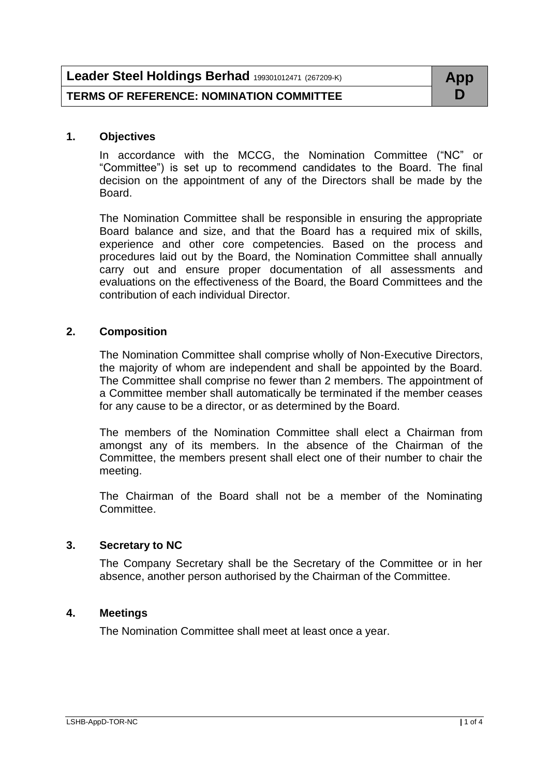| Leader Steel Holdings Berhad 199301012471 (267209-K) | App |
|------------------------------------------------------|-----|
| <b>TERMS OF REFERENCE: NOMINATION COMMITTEE</b>      |     |

### **1. Objectives**

In accordance with the MCCG, the Nomination Committee ("NC" or "Committee") is set up to recommend candidates to the Board. The final decision on the appointment of any of the Directors shall be made by the Board.

The Nomination Committee shall be responsible in ensuring the appropriate Board balance and size, and that the Board has a required mix of skills, experience and other core competencies. Based on the process and procedures laid out by the Board, the Nomination Committee shall annually carry out and ensure proper documentation of all assessments and evaluations on the effectiveness of the Board, the Board Committees and the contribution of each individual Director.

### **2. Composition**

The Nomination Committee shall comprise wholly of Non-Executive Directors, the majority of whom are independent and shall be appointed by the Board. The Committee shall comprise no fewer than 2 members. The appointment of a Committee member shall automatically be terminated if the member ceases for any cause to be a director, or as determined by the Board.

The members of the Nomination Committee shall elect a Chairman from amongst any of its members. In the absence of the Chairman of the Committee, the members present shall elect one of their number to chair the meeting.

The Chairman of the Board shall not be a member of the Nominating Committee.

# **3. Secretary to NC**

The Company Secretary shall be the Secretary of the Committee or in her absence, another person authorised by the Chairman of the Committee.

# **4. Meetings**

The Nomination Committee shall meet at least once a year.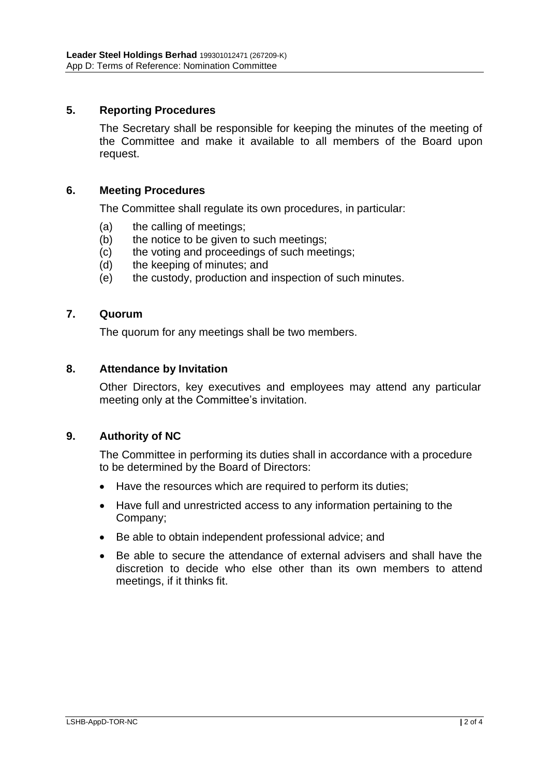# **5. Reporting Procedures**

The Secretary shall be responsible for keeping the minutes of the meeting of the Committee and make it available to all members of the Board upon request.

### **6. Meeting Procedures**

The Committee shall regulate its own procedures, in particular:

- (a) the calling of meetings;
- (b) the notice to be given to such meetings;
- (c) the voting and proceedings of such meetings;
- (d) the keeping of minutes; and
- (e) the custody, production and inspection of such minutes.

### **7. Quorum**

The quorum for any meetings shall be two members.

### **8. Attendance by Invitation**

Other Directors, key executives and employees may attend any particular meeting only at the Committee's invitation.

# **9. Authority of NC**

The Committee in performing its duties shall in accordance with a procedure to be determined by the Board of Directors:

- Have the resources which are required to perform its duties;
- Have full and unrestricted access to any information pertaining to the Company;
- Be able to obtain independent professional advice; and
- Be able to secure the attendance of external advisers and shall have the discretion to decide who else other than its own members to attend meetings, if it thinks fit.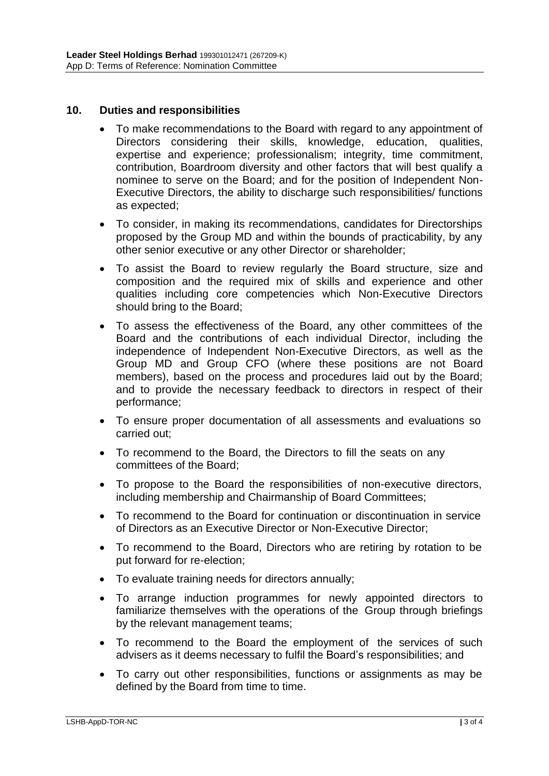# **10. Duties and responsibilities**

- To make recommendations to the Board with regard to any appointment of Directors considering their skills, knowledge, education, qualities, expertise and experience; professionalism; integrity, time commitment, contribution, Boardroom diversity and other factors that will best qualify a nominee to serve on the Board; and for the position of Independent Non-Executive Directors, the ability to discharge such responsibilities/ functions as expected;
- To consider, in making its recommendations, candidates for Directorships proposed by the Group MD and within the bounds of practicability, by any other senior executive or any other Director or shareholder;
- To assist the Board to review regularly the Board structure, size and composition and the required mix of skills and experience and other qualities including core competencies which Non-Executive Directors should bring to the Board;
- To assess the effectiveness of the Board, any other committees of the Board and the contributions of each individual Director, including the independence of Independent Non-Executive Directors, as well as the Group MD and Group CFO (where these positions are not Board members), based on the process and procedures laid out by the Board; and to provide the necessary feedback to directors in respect of their performance;
- To ensure proper documentation of all assessments and evaluations so carried out;
- To recommend to the Board, the Directors to fill the seats on any committees of the Board;
- To propose to the Board the responsibilities of non-executive directors, including membership and Chairmanship of Board Committees;
- To recommend to the Board for continuation or discontinuation in service of Directors as an Executive Director or Non-Executive Director;
- To recommend to the Board, Directors who are retiring by rotation to be put forward for re-election;
- To evaluate training needs for directors annually;
- To arrange induction programmes for newly appointed directors to familiarize themselves with the operations of the Group through briefings by the relevant management teams;
- To recommend to the Board the employment of the services of such advisers as it deems necessary to fulfil the Board's responsibilities; and
- To carry out other responsibilities, functions or assignments as may be defined by the Board from time to time.